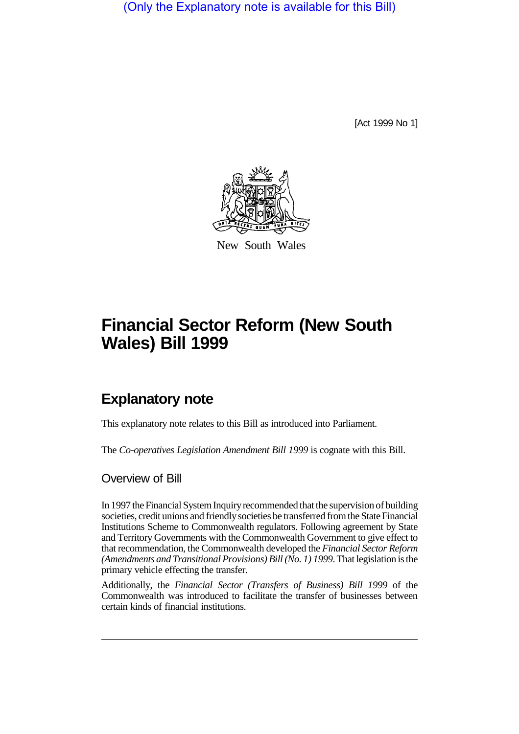(Only the Explanatory note is available for this Bill)

[Act 1999 No 1]



New South Wales

# **Financial Sector Reform (New South Wales) Bill 1999**

# **Explanatory note**

This explanatory note relates to this Bill as introduced into Parliament.

The *Co-operatives Legislation Amendment Bill 1999* is cognate with this Bill.

Overview of Bill

In 1997 the Financial System Inquiry recommended that the supervision of building societies, credit unions and friendly societies be transferred from the State Financial Institutions Scheme to Commonwealth regulators. Following agreement by State and Territory Governments with the Commonwealth Government to give effect to that recommendation, the Commonwealth developed the *Financial Sector Reform (Amendments and Transitional Provisions) Bill (No. 1) 1999*. That legislation is the primary vehicle effecting the transfer.

Additionally, the *Financial Sector (Transfers of Business) Bill 1999* of the Commonwealth was introduced to facilitate the transfer of businesses between certain kinds of financial institutions.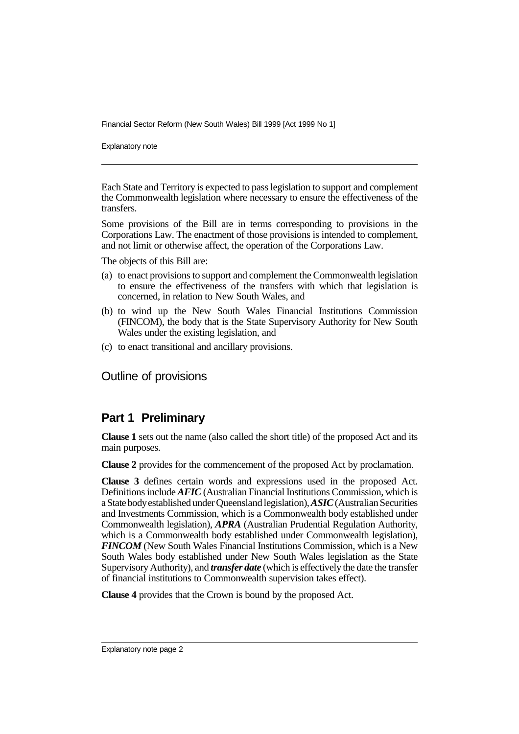Explanatory note

Each State and Territory is expected to pass legislation to support and complement the Commonwealth legislation where necessary to ensure the effectiveness of the transfers.

Some provisions of the Bill are in terms corresponding to provisions in the Corporations Law. The enactment of those provisions is intended to complement, and not limit or otherwise affect, the operation of the Corporations Law.

The objects of this Bill are:

- (a) to enact provisions to support and complement the Commonwealth legislation to ensure the effectiveness of the transfers with which that legislation is concerned, in relation to New South Wales, and
- (b) to wind up the New South Wales Financial Institutions Commission (FINCOM), the body that is the State Supervisory Authority for New South Wales under the existing legislation, and
- (c) to enact transitional and ancillary provisions.

Outline of provisions

# **Part 1 Preliminary**

**Clause 1** sets out the name (also called the short title) of the proposed Act and its main purposes.

**Clause 2** provides for the commencement of the proposed Act by proclamation.

**Clause 3** defines certain words and expressions used in the proposed Act. Definitions include *AFIC* (Australian Financial Institutions Commission, which is a State body established under Queensland legislation), *ASIC* (Australian Securities and Investments Commission, which is a Commonwealth body established under Commonwealth legislation), *APRA* (Australian Prudential Regulation Authority, which is a Commonwealth body established under Commonwealth legislation), *FINCOM* (New South Wales Financial Institutions Commission, which is a New South Wales body established under New South Wales legislation as the State Supervisory Authority), and *transfer date* (which is effectively the date the transfer of financial institutions to Commonwealth supervision takes effect).

**Clause 4** provides that the Crown is bound by the proposed Act.

Explanatory note page 2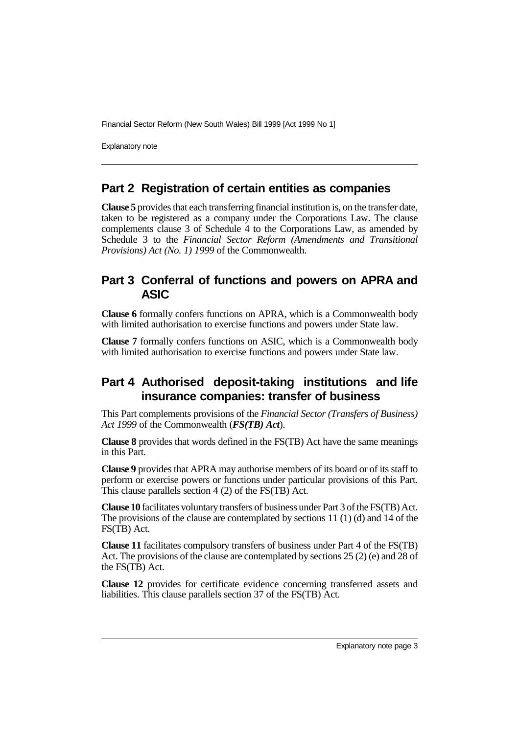Explanatory note

# **Part 2 Registration of certain entities as companies**

**Clause 5** provides that each transferring financial institution is, on the transfer date, taken to be registered as a company under the Corporations Law. The clause complements clause 3 of Schedule 4 to the Corporations Law, as amended by Schedule 3 to the *Financial Sector Reform (Amendments and Transitional Provisions) Act (No. 1) 1999* of the Commonwealth.

# **Part 3 Conferral of functions and powers on APRA and ASIC**

**Clause 6** formally confers functions on APRA, which is a Commonwealth body with limited authorisation to exercise functions and powers under State law.

**Clause 7** formally confers functions on ASIC, which is a Commonwealth body with limited authorisation to exercise functions and powers under State law.

# **Part 4 Authorised deposit-taking institutions and life insurance companies: transfer of business**

This Part complements provisions of the *Financial Sector (Transfers of Business) Act 1999* of the Commonwealth (*FS(TB) Act*).

**Clause 8** provides that words defined in the FS(TB) Act have the same meanings in this Part.

**Clause 9** provides that APRA may authorise members of its board or of its staff to perform or exercise powers or functions under particular provisions of this Part. This clause parallels section 4 (2) of the FS(TB) Act.

**Clause 10** facilitates voluntary transfers of business under Part 3 of the FS(TB) Act. The provisions of the clause are contemplated by sections  $11 (1) (d)$  and  $14$  of the FS(TB) Act.

**Clause 11** facilitates compulsory transfers of business under Part 4 of the FS(TB) Act. The provisions of the clause are contemplated by sections 25 (2) (e) and 28 of the FS(TB) Act.

**Clause 12** provides for certificate evidence concerning transferred assets and liabilities. This clause parallels section 37 of the FS(TB) Act.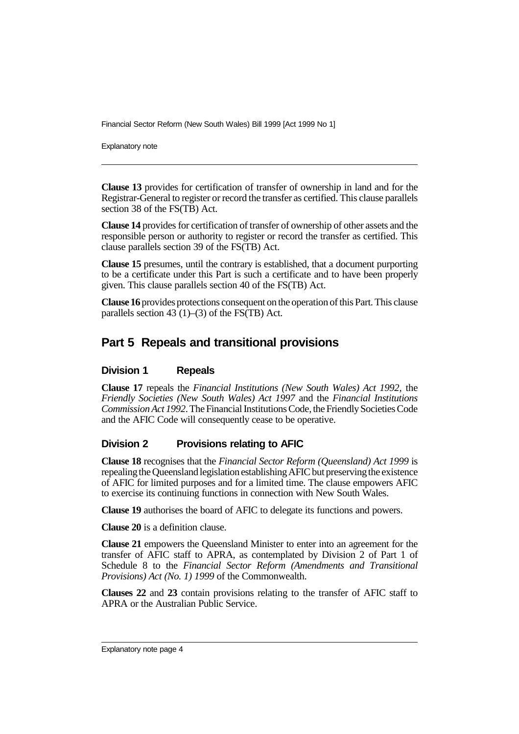Explanatory note

**Clause 13** provides for certification of transfer of ownership in land and for the Registrar-General to register or record the transfer as certified. This clause parallels section 38 of the FS(TB) Act.

**Clause 14** provides for certification of transfer of ownership of other assets and the responsible person or authority to register or record the transfer as certified. This clause parallels section 39 of the FS(TB) Act.

**Clause 15** presumes, until the contrary is established, that a document purporting to be a certificate under this Part is such a certificate and to have been properly given. This clause parallels section 40 of the FS(TB) Act.

**Clause 16** provides protections consequent on the operation of this Part. This clause parallels section 43 (1)–(3) of the FS(TB) Act.

# **Part 5 Repeals and transitional provisions**

### **Division 1 Repeals**

**Clause 17** repeals the *Financial Institutions (New South Wales) Act 1992,* the *Friendly Societies (New South Wales) Act 1997* and the *Financial Institutions Commission Act 1992*. The Financial Institutions Code, the Friendly Societies Code and the AFIC Code will consequently cease to be operative.

### **Division 2 Provisions relating to AFIC**

**Clause 18** recognises that the *Financial Sector Reform (Queensland) Act 1999* is repealing the Queensland legislation establishing AFIC but preserving the existence of AFIC for limited purposes and for a limited time. The clause empowers AFIC to exercise its continuing functions in connection with New South Wales.

**Clause 19** authorises the board of AFIC to delegate its functions and powers.

**Clause 20** is a definition clause.

**Clause 21** empowers the Queensland Minister to enter into an agreement for the transfer of AFIC staff to APRA, as contemplated by Division 2 of Part 1 of Schedule 8 to the *Financial Sector Reform (Amendments and Transitional Provisions) Act (No. 1) 1999* of the Commonwealth.

**Clauses 22** and **23** contain provisions relating to the transfer of AFIC staff to APRA or the Australian Public Service.

Explanatory note page 4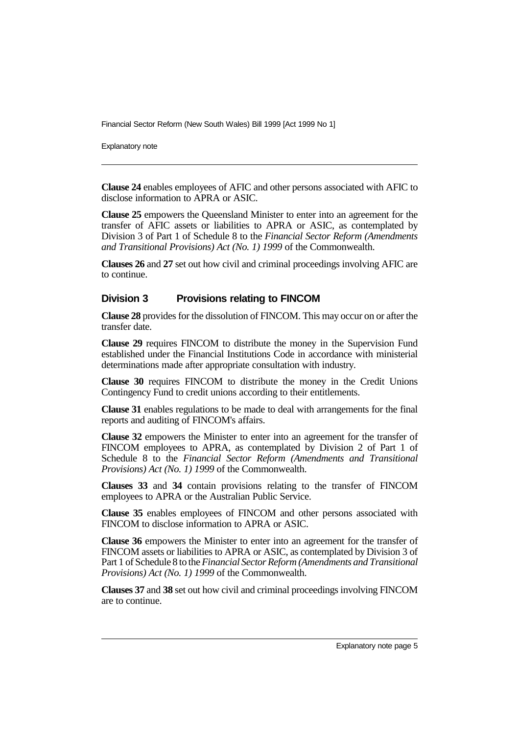Explanatory note

**Clause 24** enables employees of AFIC and other persons associated with AFIC to disclose information to APRA or ASIC.

**Clause 25** empowers the Queensland Minister to enter into an agreement for the transfer of AFIC assets or liabilities to APRA or ASIC, as contemplated by Division 3 of Part 1 of Schedule 8 to the *Financial Sector Reform (Amendments and Transitional Provisions) Act (No. 1) 1999* of the Commonwealth.

**Clauses 26** and **27** set out how civil and criminal proceedings involving AFIC are to continue.

#### **Division 3 Provisions relating to FINCOM**

**Clause 28** provides for the dissolution of FINCOM. This may occur on or after the transfer date.

**Clause 29** requires FINCOM to distribute the money in the Supervision Fund established under the Financial Institutions Code in accordance with ministerial determinations made after appropriate consultation with industry.

**Clause 30** requires FINCOM to distribute the money in the Credit Unions Contingency Fund to credit unions according to their entitlements.

**Clause 31** enables regulations to be made to deal with arrangements for the final reports and auditing of FINCOM's affairs.

**Clause 32** empowers the Minister to enter into an agreement for the transfer of FINCOM employees to APRA, as contemplated by Division 2 of Part 1 of Schedule 8 to the *Financial Sector Reform (Amendments and Transitional Provisions) Act (No. 1) 1999* of the Commonwealth.

**Clauses 33** and **34** contain provisions relating to the transfer of FINCOM employees to APRA or the Australian Public Service.

**Clause 35** enables employees of FINCOM and other persons associated with FINCOM to disclose information to APRA or ASIC.

**Clause 36** empowers the Minister to enter into an agreement for the transfer of FINCOM assets or liabilities to APRA or ASIC, as contemplated by Division 3 of Part 1 of Schedule 8 to the *Financial Sector Reform (Amendments and Transitional Provisions) Act (No. 1) 1999* of the Commonwealth.

**Clauses 37** and **38** set out how civil and criminal proceedings involving FINCOM are to continue.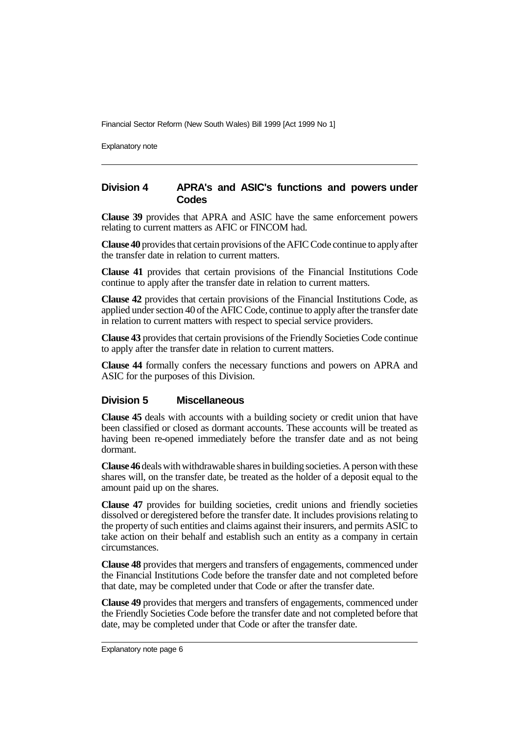Explanatory note

### **Division 4 APRA's and ASIC's functions and powers under Codes**

**Clause 39** provides that APRA and ASIC have the same enforcement powers relating to current matters as AFIC or FINCOM had.

**Clause 40** provides that certain provisions of the AFIC Code continue to apply after the transfer date in relation to current matters.

**Clause 41** provides that certain provisions of the Financial Institutions Code continue to apply after the transfer date in relation to current matters.

**Clause 42** provides that certain provisions of the Financial Institutions Code, as applied under section 40 of the AFIC Code, continue to apply after the transfer date in relation to current matters with respect to special service providers.

**Clause 43** provides that certain provisions of the Friendly Societies Code continue to apply after the transfer date in relation to current matters.

**Clause 44** formally confers the necessary functions and powers on APRA and ASIC for the purposes of this Division.

#### **Division 5 Miscellaneous**

**Clause 45** deals with accounts with a building society or credit union that have been classified or closed as dormant accounts. These accounts will be treated as having been re-opened immediately before the transfer date and as not being dormant.

**Clause 46** deals with withdrawable shares in building societies. A person with these shares will, on the transfer date, be treated as the holder of a deposit equal to the amount paid up on the shares.

**Clause 47** provides for building societies, credit unions and friendly societies dissolved or deregistered before the transfer date. It includes provisions relating to the property of such entities and claims against their insurers, and permits ASIC to take action on their behalf and establish such an entity as a company in certain circumstances.

**Clause 48** provides that mergers and transfers of engagements, commenced under the Financial Institutions Code before the transfer date and not completed before that date, may be completed under that Code or after the transfer date.

**Clause 49** provides that mergers and transfers of engagements, commenced under the Friendly Societies Code before the transfer date and not completed before that date, may be completed under that Code or after the transfer date.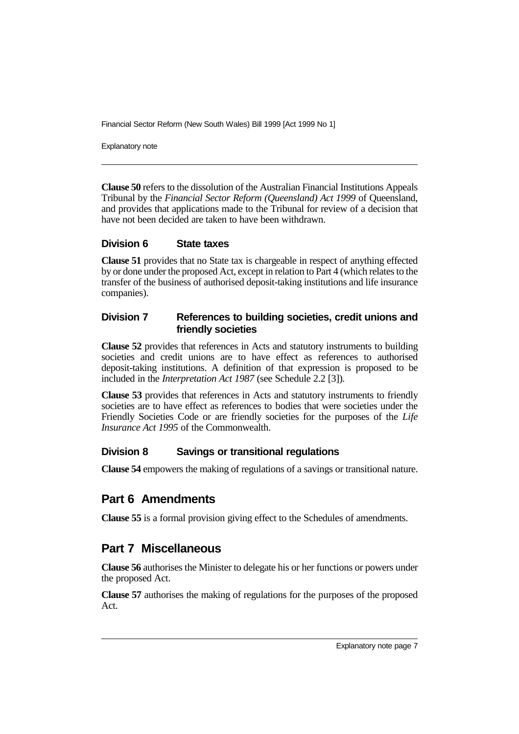Explanatory note

**Clause 50** refers to the dissolution of the Australian Financial Institutions Appeals Tribunal by the *Financial Sector Reform (Queensland) Act 1999* of Queensland, and provides that applications made to the Tribunal for review of a decision that have not been decided are taken to have been withdrawn.

### **Division 6 State taxes**

**Clause 51** provides that no State tax is chargeable in respect of anything effected by or done under the proposed Act, except in relation to Part 4 (which relates to the transfer of the business of authorised deposit-taking institutions and life insurance companies).

### **Division 7 References to building societies, credit unions and friendly societies**

**Clause 52** provides that references in Acts and statutory instruments to building societies and credit unions are to have effect as references to authorised deposit-taking institutions. A definition of that expression is proposed to be included in the *Interpretation Act 1987* (see Schedule 2.2 [3]).

**Clause 53** provides that references in Acts and statutory instruments to friendly societies are to have effect as references to bodies that were societies under the Friendly Societies Code or are friendly societies for the purposes of the *Life Insurance Act 1995* of the Commonwealth.

### **Division 8 Savings or transitional regulations**

**Clause 54** empowers the making of regulations of a savings or transitional nature.

## **Part 6 Amendments**

**Clause 55** is a formal provision giving effect to the Schedules of amendments.

## **Part 7 Miscellaneous**

**Clause 56** authorises the Minister to delegate his or her functions or powers under the proposed Act.

**Clause 57** authorises the making of regulations for the purposes of the proposed Act.